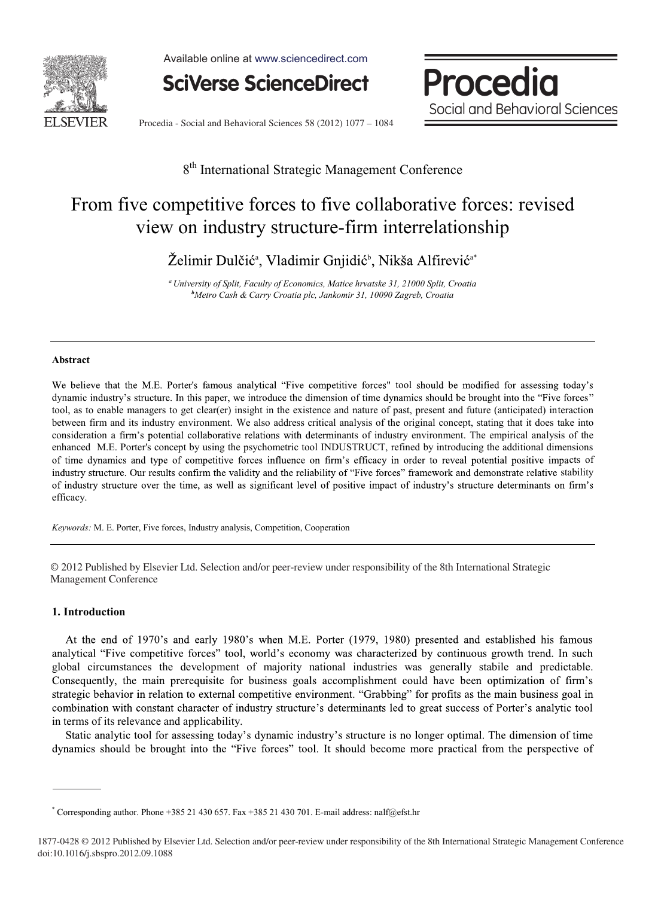

Available online at www.sciencedirect.com



Procedia Social and Behavioral Sciences

Procedia - Social and Behavioral Sciences 58 (2012) 1077 - 1084

# 8<sup>th</sup> International Strategic Management Conference

# From five competitive forces to five collaborative forces: revised view on industry structure-firm interrelationship

Želimir Dulčić<sup>a</sup>, Vladimir Gnjidić<sup>b</sup>, Nikša Alfirević<sup>a\*</sup>

*a University of Split, Faculty of Economics, Matice hrvatske 31, 21000 Split, Croatia b Metro Cash & Carry Croatia plc, Jankomir 31, 10090 Zagreb, Croatia*

#### **Abstract**

We believe that the M.E. Porter's famous analytical "Five competitive forces" tool should be modified for assessing today's dynamic industry's structure. In this paper, we introduce the dimension of time dynamics should be brought into the "Five forces" tool, as to enable managers to get clear(er) insight in the existence and nature of past, present and future (anticipated) interaction between firm and its industry environment. We also address critical analysis of the original concept, stating that it does take into consideration a firm's potential collaborative relations with determinants of industry environment. The empirical analysis of the enhanced M.E. Porter's concept by using the psychometric tool INDUSTRUCT, refined by introducing the additional dimensions of time dynamics and type of competitive forces influence on firm's efficacy in order to reveal potential positive impacts of industry structure. Our results confirm the validity and the reliability of "Five forces" framework and demonstrate relative stability of industry structure over the time, as well as significant level of positive impact of industry's structure determinants on firm's efficacy.

*Keywords:* M. E. Porter, Five forces, Industry analysis, Competition, Cooperation

© 2012 Published by Elsevier Ltd. Selection and/or peer-review under responsibility of the 8th International Strategic Management Conference Management Conference

## **1. Introduction**

At the end of 1970's and early 1980's when M.E. Porter (1979, 1980) presented and established his famous analytical "Five competitive forces" tool, world's economy was characterized by continuous growth trend. In such global circumstances the development of majority national industries was generally stabile and predictable. Consequently, the main prerequisite for business goals accomplishment could have been optimization of firm's strategic behavior in relation to external competitive environment. "Grabbing" for profits as the main business goal in combination with constant character of industry structure's determinants led to great success of Porter's analytic tool in terms of its relevance and applicability.

Static analytic tool for assessing today's dynamic industry's structure is no longer optimal. The dimension of time dynamics should be brought into the "Five forces" tool. It should become more practical from the perspective of

<sup>\*</sup> Corresponding author. Phone +385 21 430 657. Fax +385 21 430 701. E-mail address: nalf@efst.hr

<sup>1877-0428 © 2012</sup> Published by Elsevier Ltd. Selection and/or peer-review under responsibility of the 8th International Strategic Management Conference doi: 10.1016/j.sbspro.2012.09.1088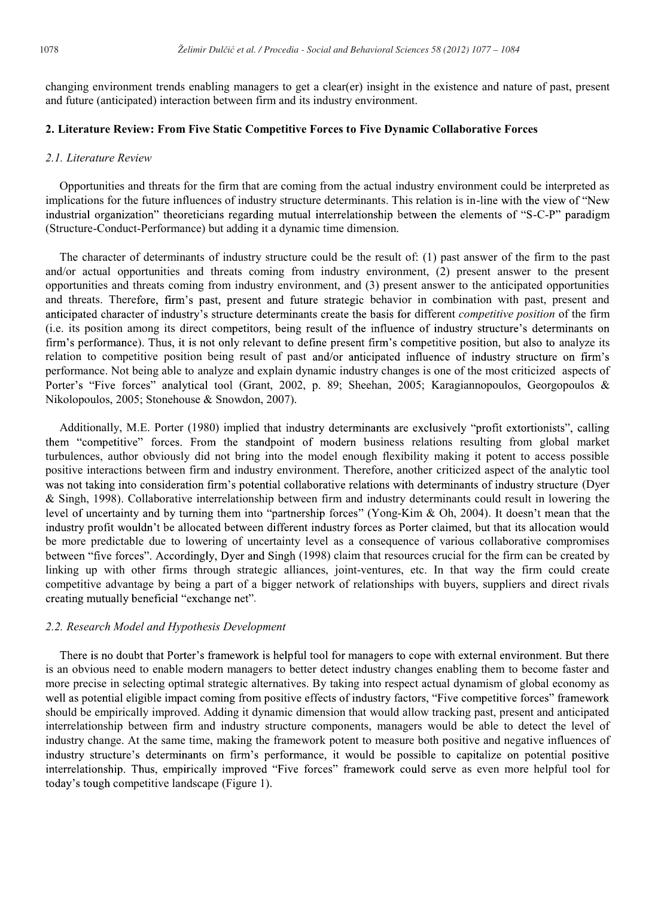changing environment trends enabling managers to get a clear(er) insight in the existence and nature of past, present and future (anticipated) interaction between firm and its industry environment.

# **2. Literature Review: From Five Static Competitive Forces to Five Dynamic Collaborative Forces**

### *2.1. Literature Review*

Opportunities and threats for the firm that are coming from the actual industry environment could be interpreted as implications for the future influences of industry structure determinants. This relation is in-line with the view of "New industrial organization" theoreticians regarding mutual interrelationship between the elements of "S-C-P" paradigm (Structure-Conduct-Performance) but adding it a dynamic time dimension.

The character of determinants of industry structure could be the result of: (1) past answer of the firm to the past and/or actual opportunities and threats coming from industry environment, (2) present answer to the present opportunities and threats coming from industry environment, and (3) present answer to the anticipated opportunities and threats. Therefore, firm's past, present and future strategic behavior in combination with past, present and anticipated character of industry's structure determinants create the basis for different *competitive position* of the firm (i.e. its position among its direct competitors, being result of the influence of industry structure's determinants on firm's performance). Thus, it is not only relevant to define present firm's competitive position, but also to analyze its relation to competitive position being result of past and/or anticipated influence of industry structure on firm's performance. Not being able to analyze and explain dynamic industry changes is one of the most criticized aspects of Porter's "Five forces" analytical tool (Grant, 2002, p. 89; Sheehan, 2005; Karagiannopoulos, Georgopoulos & Nikolopoulos, 2005; Stonehouse & Snowdon, 2007).

Additionally, M.E. Porter (1980) implied that industry determinants are exclusively "profit extortionists", calling them "competitive" forces. From the standpoint of modern business relations resulting from global market turbulences, author obviously did not bring into the model enough flexibility making it potent to access possible positive interactions between firm and industry environment. Therefore, another criticized aspect of the analytic tool was not taking into consideration firm's potential collaborative relations with determinants of industry structure (Dyer & Singh, 1998). Collaborative interrelationship between firm and industry determinants could result in lowering the level of uncertainty and by turning them into "partnership forces" (Yong-Kim & Oh, 2004). It doesn't mean that the industry profit wouldn't be allocated between different industry forces as Porter claimed, but that its allocation would be more predictable due to lowering of uncertainty level as a consequence of various collaborative compromises between "five forces". Accordingly, Dyer and Singh (1998) claim that resources crucial for the firm can be created by linking up with other firms through strategic alliances, joint-ventures, etc. In that way the firm could create competitive advantage by being a part of a bigger network of relationships with buyers, suppliers and direct rivals creating mutually beneficial "exchange net".

### *2.2. Research Model and Hypothesis Development*

There is no doubt that Porter's framework is helpful tool for managers to cope with external environment. But there is an obvious need to enable modern managers to better detect industry changes enabling them to become faster and more precise in selecting optimal strategic alternatives. By taking into respect actual dynamism of global economy as well as potential eligible impact coming from positive effects of industry factors, "Five competitive forces" framework should be empirically improved. Adding it dynamic dimension that would allow tracking past, present and anticipated interrelationship between firm and industry structure components, managers would be able to detect the level of industry change. At the same time, making the framework potent to measure both positive and negative influences of industry structure's determinants on firm's performance, it would be possible to capitalize on potential positive interrelationship. Thus, empirically improved "Five forces" framework could serve as even more helpful tool for today's tough competitive landscape (Figure 1).